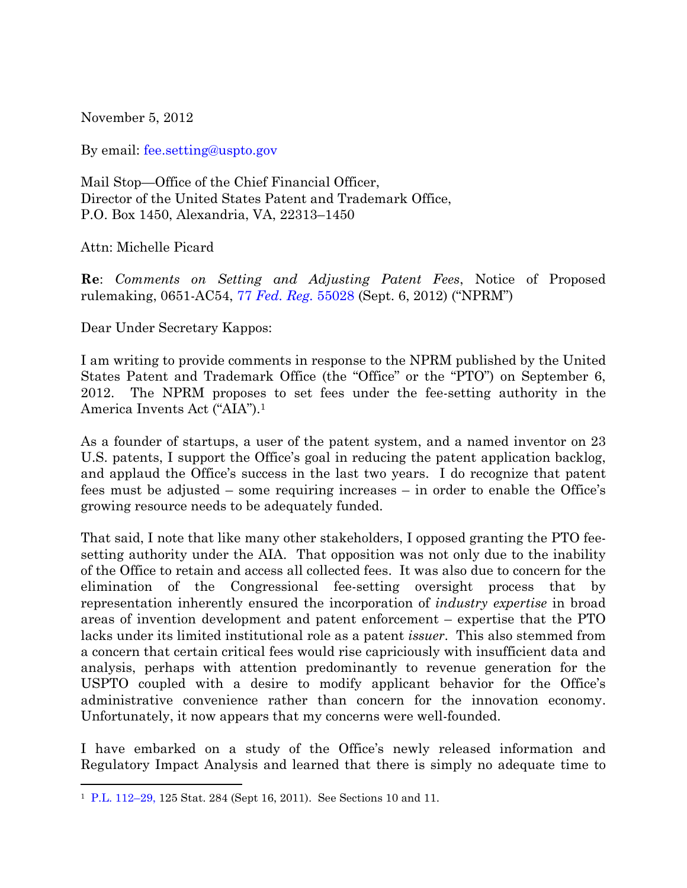November 5, 2012

By email: [fee.setting@uspto.gov](mailto:fee.setting@uspto.gov)

Mail Stop—Office of the Chief Financial Officer, Director of the United States Patent and Trademark Office, P.O. Box 1450, Alexandria, VA, 22313–1450

Attn: Michelle Picard

l

**Re**: *Comments on Setting and Adjusting Patent Fees*, Notice of Proposed rulemaking, 0651-AC54, 77 *[Fed. Reg.](http://www.gpo.gov/fdsys/pkg/FR-2012-09-06/pdf/2012-21698.pdf)* 55028 (Sept. 6, 2012) ("NPRM")

Dear Under Secretary Kappos:

I am writing to provide comments in response to the NPRM published by the United States Patent and Trademark Office (the "Office" or the "PTO") on September 6, 2012. The NPRM proposes to set fees under the fee-setting authority in the America Invents Act ("AIA").<sup>1</sup>

As a founder of startups, a user of the patent system, and a named inventor on 23 U.S. patents, I support the Office's goal in reducing the patent application backlog, and applaud the Office's success in the last two years. I do recognize that patent fees must be adjusted – some requiring increases – in order to enable the Office's growing resource needs to be adequately funded.

That said, I note that like many other stakeholders, I opposed granting the PTO feesetting authority under the AIA. That opposition was not only due to the inability of the Office to retain and access all collected fees. It was also due to concern for the elimination of the Congressional fee-setting oversight process that by representation inherently ensured the incorporation of *industry expertise* in broad areas of invention development and patent enforcement – expertise that the PTO lacks under its limited institutional role as a patent *issuer*. This also stemmed from a concern that certain critical fees would rise capriciously with insufficient data and analysis, perhaps with attention predominantly to revenue generation for the USPTO coupled with a desire to modify applicant behavior for the Office's administrative convenience rather than concern for the innovation economy. Unfortunately, it now appears that my concerns were well-founded.

I have embarked on a study of the Office's newly released information and Regulatory Impact Analysis and learned that there is simply no adequate time to

<sup>1</sup> [P.L. 112](http://www.uspto.gov/aia_implementation/20110916-pub-l112-29.pdf)–29, 125 Stat. 284 (Sept 16, 2011). See Sections 10 and 11.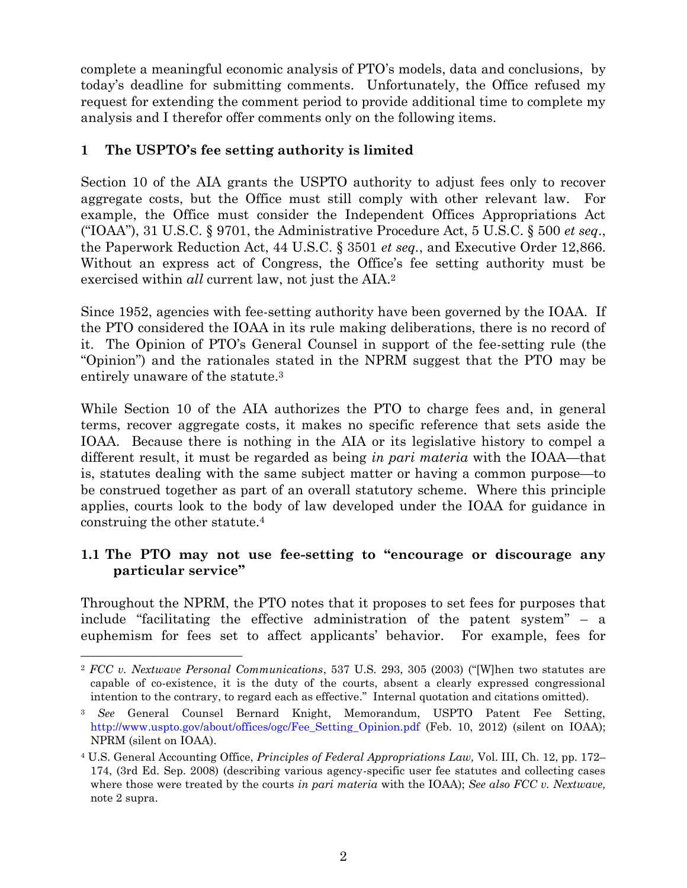complete a meaningful economic analysis of PTO's models, data and conclusions, by today's deadline for submitting comments. Unfortunately, the Office refused my request for extending the comment period to provide additional time to complete my analysis and I therefor offer comments only on the following items.

## **1 The USPTO's fee setting authority is limited**

Section 10 of the AIA grants the USPTO authority to adjust fees only to recover aggregate costs, but the Office must still comply with other relevant law. For example, the Office must consider the Independent Offices Appropriations Act ("IOAA"), 31 U.S.C. § 9701, the Administrative Procedure Act, 5 U.S.C. § 500 *et seq.*, the Paperwork Reduction Act, 44 U.S.C. § 3501 *et seq.*, and Executive Order 12,866. Without an express act of Congress, the Office's fee setting authority must be exercised within *all* current law, not just the AIA.<sup>2</sup>

<span id="page-1-0"></span>Since 1952, agencies with fee-setting authority have been governed by the IOAA. If the PTO considered the IOAA in its rule making deliberations, there is no record of it. The Opinion of PTO's General Counsel in support of the fee-setting rule (the ―Opinion‖) and the rationales stated in the NPRM suggest that the PTO may be entirely unaware of the statute.<sup>3</sup>

While Section 10 of the AIA authorizes the PTO to charge fees and, in general terms, recover aggregate costs, it makes no specific reference that sets aside the IOAA. Because there is nothing in the AIA or its legislative history to compel a different result, it must be regarded as being *in pari materia* with the IOAA—that is, statutes dealing with the same subject matter or having a common purpose—to be construed together as part of an overall statutory scheme. Where this principle applies, courts look to the body of law developed under the IOAA for guidance in construing the other statute.<sup>4</sup>

## **1.1 The PTO may not use fee-setting to "encourage or discourage any particular service"**

Throughout the NPRM, the PTO notes that it proposes to set fees for purposes that include "facilitating the effective administration of the patent system"  $-$  a euphemism for fees set to affect applicants' behavior. For example, fees for

l <sup>2</sup> *FCC v. Nextwave Personal Communications*, 537 U.S. 293, 305 (2003) ("W]hen two statutes are capable of co-existence, it is the duty of the courts, absent a clearly expressed congressional intention to the contrary, to regard each as effective." Internal quotation and citations omitted).

<sup>3</sup> *See* General Counsel Bernard Knight, Memorandum, USPTO Patent Fee Setting, [http://www.uspto.gov/about/offices/ogc/Fee\\_Setting\\_Opinion.pdf](http://www.uspto.gov/about/offices/ogc/Fee_Setting_Opinion.pdf) (Feb. 10, 2012) (silent on IOAA); NPRM (silent on IOAA).

<sup>4</sup> U.S. General Accounting Office, *Principles of Federal Appropriations Law,* Vol. III, Ch. 12, pp. 172– 174, (3rd Ed. Sep. 2008) (describing various agency-specific user fee statutes and collecting cases where those were treated by the courts *in pari materia* with the IOAA); *See also FCC v. Nextwave,* note [2](#page-1-0) supra.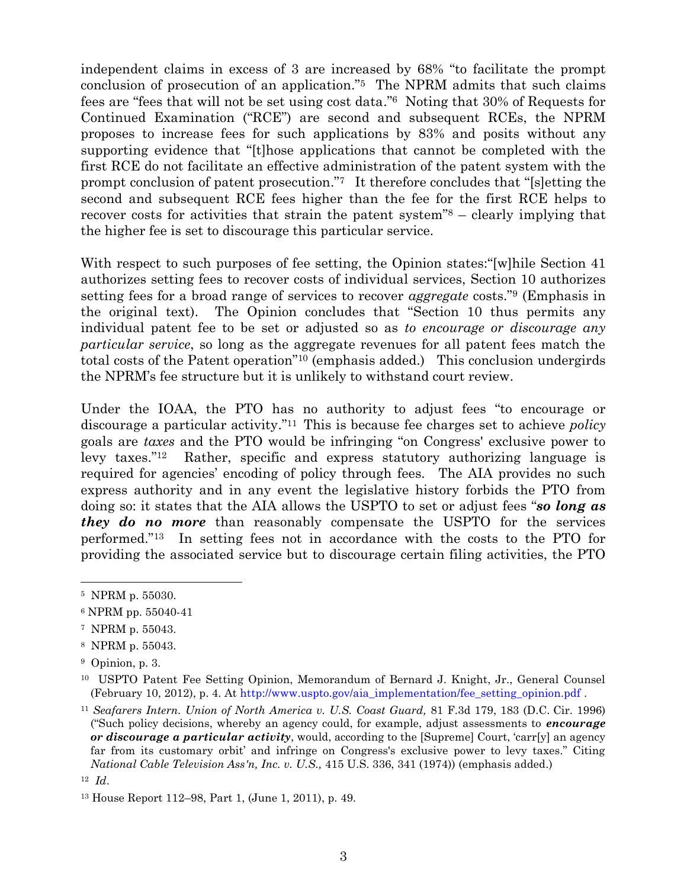independent claims in excess of 3 are increased by 68% "to facilitate the prompt conclusion of prosecution of an application."<sup>5</sup> The NPRM admits that such claims fees are "fees that will not be set using cost data."<sup>6</sup> Noting that 30% of Requests for Continued Examination ("RCE") are second and subsequent RCEs, the NPRM proposes to increase fees for such applications by 83% and posits without any supporting evidence that "[t]hose applications that cannot be completed with the first RCE do not facilitate an effective administration of the patent system with the prompt conclusion of patent prosecution." It therefore concludes that "[s]etting the second and subsequent RCE fees higher than the fee for the first RCE helps to recover costs for activities that strain the patent system<sup>"8</sup> – clearly implying that the higher fee is set to discourage this particular service.

With respect to such purposes of fee setting, the Opinion states:  $\lceil w \rceil$ hile Section 41 authorizes setting fees to recover costs of individual services, Section 10 authorizes setting fees for a broad range of services to recover *aggregate* costs."<sup>9</sup> (Emphasis in the original text). The Opinion concludes that "Section 10 thus permits any individual patent fee to be set or adjusted so as *to encourage or discourage any particular service*, so long as the aggregate revenues for all patent fees match the total costs of the Patent operation<sup>"10</sup> (emphasis added.) This conclusion undergirds the NPRM's fee structure but it is unlikely to withstand court review.

Under the IOAA, the PTO has no authority to adjust fees "to encourage or discourage a particular activity."<sup>11</sup> This is because fee charges set to achieve *policy* goals are *taxes* and the PTO would be infringing "on Congress' exclusive power to levy taxes."<sup>12</sup> Rather, specific and express statutory authorizing language is required for agencies' encoding of policy through fees. The AIA provides no such express authority and in any event the legislative history forbids the PTO from doing so: it states that the AIA allows the USPTO to set or adjust fees "**so long as** *they do no more* than reasonably compensate the USPTO for the services performed.‖<sup>13</sup> In setting fees not in accordance with the costs to the PTO for providing the associated service but to discourage certain filing activities, the PTO

l

<sup>8</sup> NPRM p. 55043.

<sup>5</sup> NPRM p. 55030.

<sup>6</sup> NPRM pp. 55040-41

<sup>7</sup> NPRM p. 55043.

<sup>9</sup> Opinion, p. 3.

<sup>&</sup>lt;sup>10</sup> USPTO Patent Fee Setting Opinion, Memorandum of Bernard J. Knight, Jr., General Counsel (February 10, 2012), p. 4. At [http://www.uspto.gov/aia\\_implementation/fee\\_setting\\_opinion.pdf](http://www.uspto.gov/aia_implementation/fee_setting_opinion.pdf) .

<sup>11</sup> *Seafarers Intern. Union of North America v. U.S. Coast Guard,* 81 F.3d 179, 183 (D.C. Cir. 1996) (―Such policy decisions, whereby an agency could, for example, adjust assessments to *encourage or discourage a particular activity*, would, according to the [Supreme] Court, 'carr[y] an agency far from its customary orbit' and infringe on Congress's exclusive power to levy taxes." Citing *National Cable Television Ass'n, Inc. v. U.S.,* 415 U.S. 336, 341 (1974)) (emphasis added.)

<sup>12</sup> *Id*.

<sup>13</sup> House Report 112–98, Part 1, (June 1, 2011), p. 49.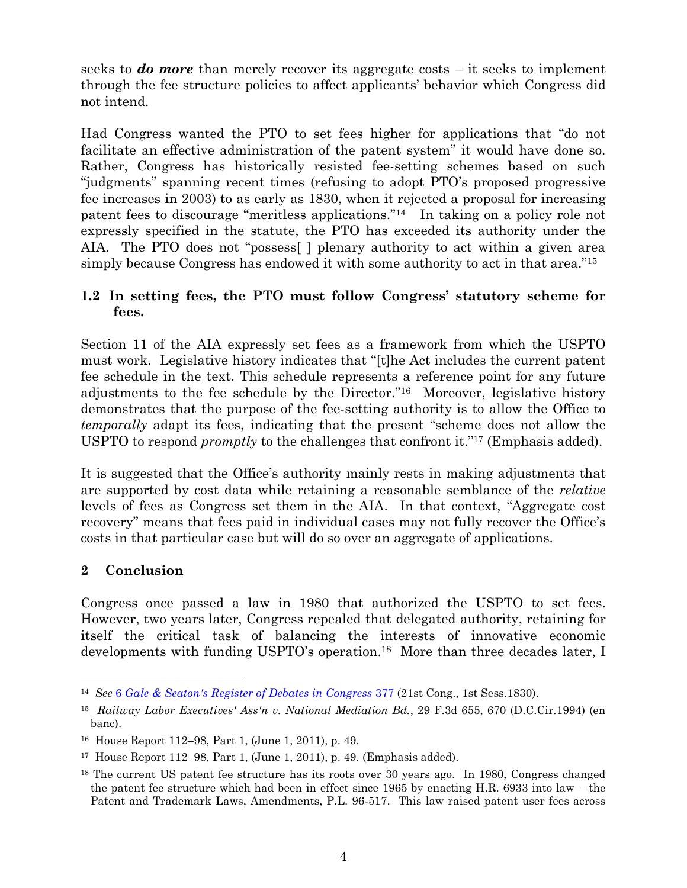seeks to *do more* than merely recover its aggregate costs – it seeks to implement through the fee structure policies to affect applicants' behavior which Congress did not intend.

Had Congress wanted the PTO to set fees higher for applications that "do not facilitate an effective administration of the patent system" it would have done so. Rather, Congress has historically resisted fee-setting schemes based on such "judgments" spanning recent times (refusing to adopt PTO's proposed progressive fee increases in 2003) to as early as 1830, when it rejected a proposal for increasing patent fees to discourage "meritless applications."<sup>14</sup> In taking on a policy role not expressly specified in the statute, the PTO has exceeded its authority under the AIA. The PTO does not "possess" | plenary authority to act within a given area simply because Congress has endowed it with some authority to act in that area.<sup>"15</sup>

## **1.2 In setting fees, the PTO must follow Congress' statutory scheme for fees.**

Section 11 of the AIA expressly set fees as a framework from which the USPTO must work. Legislative history indicates that "[t]he Act includes the current patent fee schedule in the text. This schedule represents a reference point for any future adjustments to the fee schedule by the Director."<sup>16</sup> Moreover, legislative history demonstrates that the purpose of the fee-setting authority is to allow the Office to *temporally* adapt its fees, indicating that the present "scheme does not allow the USPTO to respond *promptly* to the challenges that confront it."<sup>17</sup> (Emphasis added).

It is suggested that the Office's authority mainly rests in making adjustments that are supported by cost data while retaining a reasonable semblance of the *relative* levels of fees as Congress set them in the AIA. In that context, "Aggregate cost" recovery" means that fees paid in individual cases may not fully recover the Office's costs in that particular case but will do so over an aggregate of applications.

## **2 Conclusion**

l

Congress once passed a law in 1980 that authorized the USPTO to set fees. However, two years later, Congress repealed that delegated authority, retaining for itself the critical task of balancing the interests of innovative economic developments with funding USPTO's operation. <sup>18</sup> More than three decades later, I

<sup>14</sup> *See* 6 *[Gale & Seaton's Register of Debates in Congress](http://books.google.com/books?id=4x0NAQAAMAAJ&lpg=PA378&ots=1htsvFsaQ-&dq=%22number%20of%20useless%20inventions%2C%20of%20no%20earthly%20use%22&pg=PA379#v=onepage&q=%22number%20of%20useless%20inventions,%20of%20no%20earthly%20use%22&f=false)* 377 (21st Cong., 1st Sess.1830).

<sup>15</sup> *Railway Labor Executives' Ass'n v. National Mediation Bd.*, 29 F.3d 655, 670 (D.C.Cir.1994) (en banc).

<sup>16</sup> House Report 112–98, Part 1, (June 1, 2011), p. 49.

<sup>17</sup> House Report 112–98, Part 1, (June 1, 2011), p. 49. (Emphasis added).

<sup>&</sup>lt;sup>18</sup> The current US patent fee structure has its roots over 30 years ago. In 1980, Congress changed the patent fee structure which had been in effect since 1965 by enacting H.R. 6933 into law – the Patent and Trademark Laws, Amendments, P.L. 96-517. This law raised patent user fees across